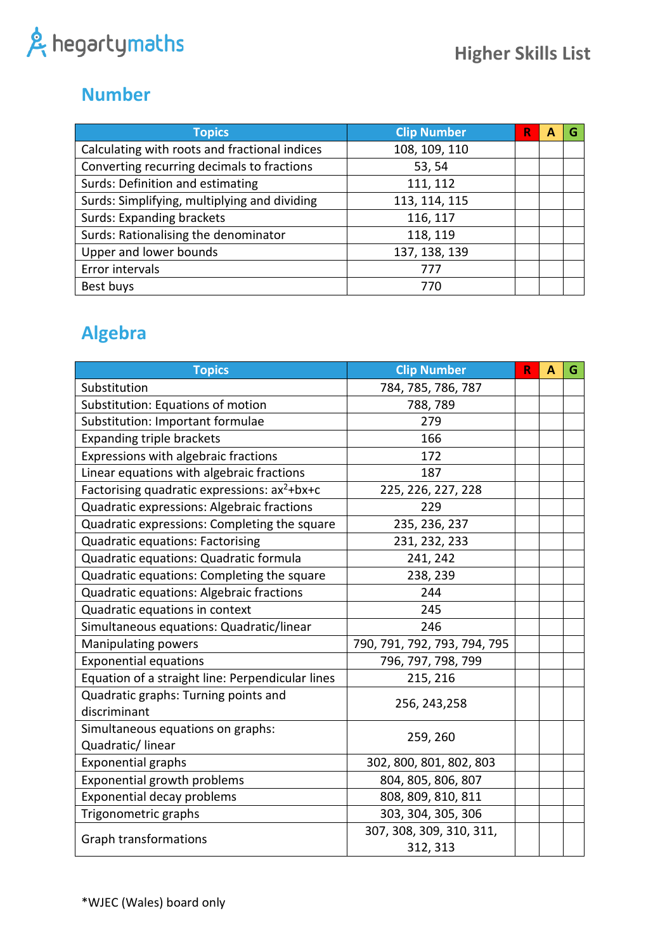#### **Number**

| <b>Topics</b>                                 | <b>Clip Number</b> | R | А |  |
|-----------------------------------------------|--------------------|---|---|--|
| Calculating with roots and fractional indices | 108, 109, 110      |   |   |  |
| Converting recurring decimals to fractions    | 53, 54             |   |   |  |
| Surds: Definition and estimating              | 111, 112           |   |   |  |
| Surds: Simplifying, multiplying and dividing  | 113, 114, 115      |   |   |  |
| <b>Surds: Expanding brackets</b>              | 116, 117           |   |   |  |
| Surds: Rationalising the denominator          | 118, 119           |   |   |  |
| Upper and lower bounds                        | 137, 138, 139      |   |   |  |
| Error intervals                               | 777                |   |   |  |
| Best buys                                     | 770                |   |   |  |

## **Algebra**

| <b>Topics</b>                                            | <b>Clip Number</b>           | R | A | G |
|----------------------------------------------------------|------------------------------|---|---|---|
| Substitution                                             | 784, 785, 786, 787           |   |   |   |
| Substitution: Equations of motion                        | 788, 789                     |   |   |   |
| Substitution: Important formulae                         | 279                          |   |   |   |
| <b>Expanding triple brackets</b>                         | 166                          |   |   |   |
| Expressions with algebraic fractions                     | 172                          |   |   |   |
| Linear equations with algebraic fractions                | 187                          |   |   |   |
| Factorising quadratic expressions: ax <sup>2</sup> +bx+c | 225, 226, 227, 228           |   |   |   |
| Quadratic expressions: Algebraic fractions               | 229                          |   |   |   |
| Quadratic expressions: Completing the square             | 235, 236, 237                |   |   |   |
| Quadratic equations: Factorising                         | 231, 232, 233                |   |   |   |
| Quadratic equations: Quadratic formula                   | 241, 242                     |   |   |   |
| Quadratic equations: Completing the square               | 238, 239                     |   |   |   |
| Quadratic equations: Algebraic fractions                 | 244                          |   |   |   |
| Quadratic equations in context                           | 245                          |   |   |   |
| Simultaneous equations: Quadratic/linear                 | 246                          |   |   |   |
| Manipulating powers                                      | 790, 791, 792, 793, 794, 795 |   |   |   |
| <b>Exponential equations</b>                             | 796, 797, 798, 799           |   |   |   |
| Equation of a straight line: Perpendicular lines         | 215, 216                     |   |   |   |
| Quadratic graphs: Turning points and                     | 256, 243, 258                |   |   |   |
| discriminant                                             |                              |   |   |   |
| Simultaneous equations on graphs:                        | 259, 260                     |   |   |   |
| Quadratic/linear                                         |                              |   |   |   |
| <b>Exponential graphs</b>                                | 302, 800, 801, 802, 803      |   |   |   |
| Exponential growth problems                              | 804, 805, 806, 807           |   |   |   |
| <b>Exponential decay problems</b>                        | 808, 809, 810, 811           |   |   |   |
| Trigonometric graphs                                     | 303, 304, 305, 306           |   |   |   |
| <b>Graph transformations</b>                             | 307, 308, 309, 310, 311,     |   |   |   |
|                                                          | 312, 313                     |   |   |   |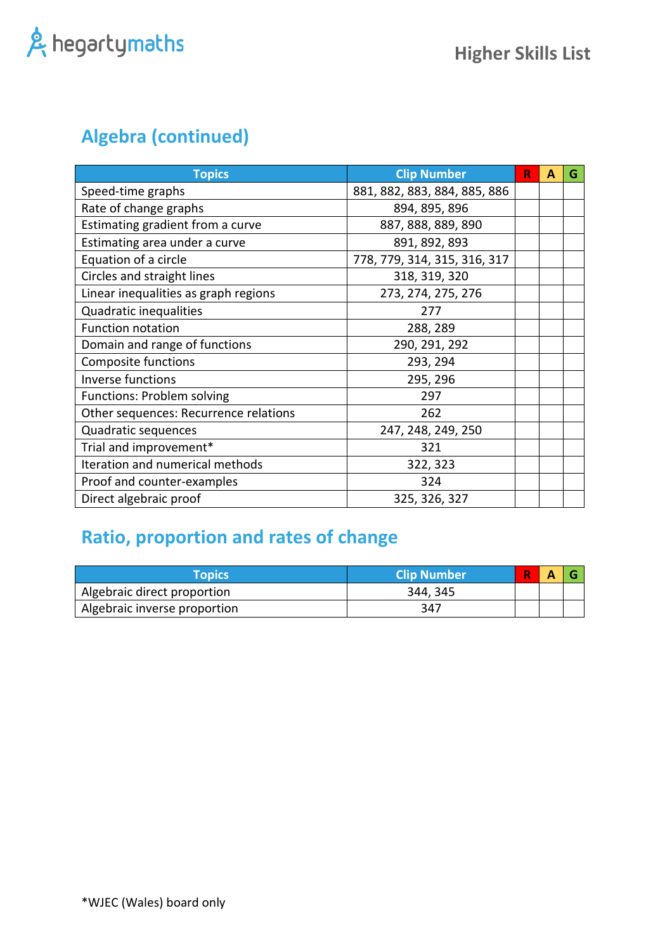### **Algebra (continued)**

| <b>Topics</b>                         | <b>Clip Number</b>           | R | А | G |
|---------------------------------------|------------------------------|---|---|---|
| Speed-time graphs                     | 881, 882, 883, 884, 885, 886 |   |   |   |
| Rate of change graphs                 | 894, 895, 896                |   |   |   |
| Estimating gradient from a curve      | 887, 888, 889, 890           |   |   |   |
| Estimating area under a curve         | 891, 892, 893                |   |   |   |
| Equation of a circle                  | 778, 779, 314, 315, 316, 317 |   |   |   |
| Circles and straight lines            | 318, 319, 320                |   |   |   |
| Linear inequalities as graph regions  | 273, 274, 275, 276           |   |   |   |
| Quadratic inequalities                | 277                          |   |   |   |
| <b>Function notation</b>              | 288, 289                     |   |   |   |
| Domain and range of functions         | 290, 291, 292                |   |   |   |
| Composite functions                   | 293, 294                     |   |   |   |
| <b>Inverse functions</b>              | 295, 296                     |   |   |   |
| <b>Functions: Problem solving</b>     | 297                          |   |   |   |
| Other sequences: Recurrence relations | 262                          |   |   |   |
| Quadratic sequences                   | 247, 248, 249, 250           |   |   |   |
| Trial and improvement*                | 321                          |   |   |   |
| Iteration and numerical methods       | 322, 323                     |   |   |   |
| Proof and counter-examples            | 324                          |   |   |   |
| Direct algebraic proof                | 325, 326, 327                |   |   |   |

### **Ratio, proportion and rates of change**

| Topics                       | <b>Clip Number</b> |  |  |
|------------------------------|--------------------|--|--|
| Algebraic direct proportion  | 344, 345           |  |  |
| Algebraic inverse proportion | 347                |  |  |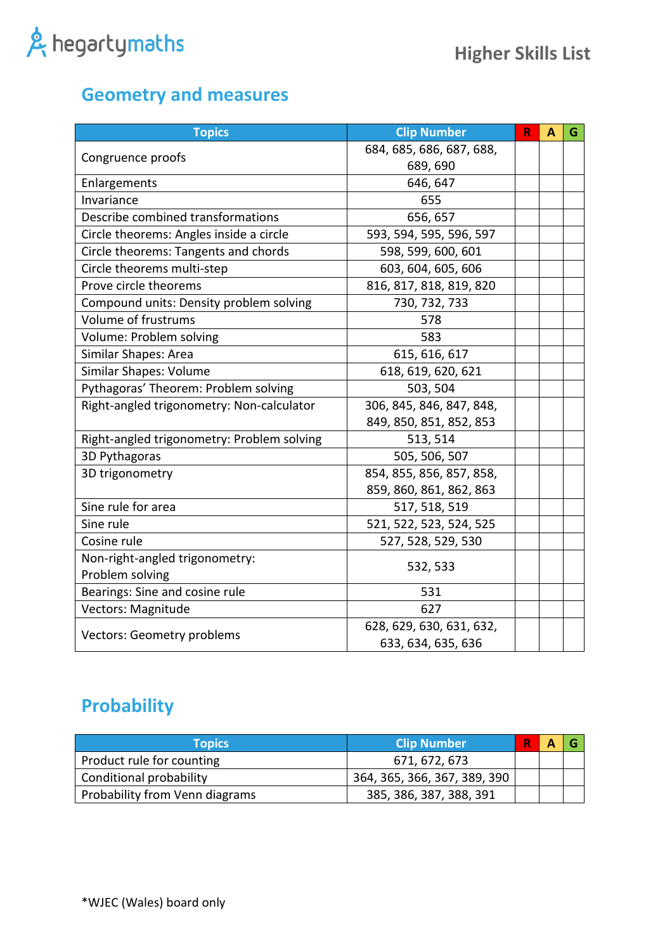#### **Geometry and measures**

| <b>Topics</b>                              | <b>Clip Number</b>       | $\mathbf R$ | A | G |
|--------------------------------------------|--------------------------|-------------|---|---|
|                                            | 684, 685, 686, 687, 688, |             |   |   |
| Congruence proofs                          | 689, 690                 |             |   |   |
| Enlargements                               | 646, 647                 |             |   |   |
| Invariance                                 | 655                      |             |   |   |
| Describe combined transformations          | 656, 657                 |             |   |   |
| Circle theorems: Angles inside a circle    | 593, 594, 595, 596, 597  |             |   |   |
| Circle theorems: Tangents and chords       | 598, 599, 600, 601       |             |   |   |
| Circle theorems multi-step                 | 603, 604, 605, 606       |             |   |   |
| Prove circle theorems                      | 816, 817, 818, 819, 820  |             |   |   |
| Compound units: Density problem solving    | 730, 732, 733            |             |   |   |
| Volume of frustrums                        | 578                      |             |   |   |
| Volume: Problem solving                    | 583                      |             |   |   |
| Similar Shapes: Area                       | 615, 616, 617            |             |   |   |
| Similar Shapes: Volume                     | 618, 619, 620, 621       |             |   |   |
| Pythagoras' Theorem: Problem solving       | 503, 504                 |             |   |   |
| Right-angled trigonometry: Non-calculator  | 306, 845, 846, 847, 848, |             |   |   |
|                                            | 849, 850, 851, 852, 853  |             |   |   |
| Right-angled trigonometry: Problem solving | 513, 514                 |             |   |   |
| 3D Pythagoras                              | 505, 506, 507            |             |   |   |
| 3D trigonometry                            | 854, 855, 856, 857, 858, |             |   |   |
|                                            | 859, 860, 861, 862, 863  |             |   |   |
| Sine rule for area                         | 517, 518, 519            |             |   |   |
| Sine rule                                  | 521, 522, 523, 524, 525  |             |   |   |
| Cosine rule                                | 527, 528, 529, 530       |             |   |   |
| Non-right-angled trigonometry:             |                          |             |   |   |
| Problem solving                            | 532, 533                 |             |   |   |
| Bearings: Sine and cosine rule             | 531                      |             |   |   |
| Vectors: Magnitude                         | 627                      |             |   |   |
| <b>Vectors: Geometry problems</b>          | 628, 629, 630, 631, 632, |             |   |   |
|                                            | 633, 634, 635, 636       |             |   |   |

#### **Probability**

| <b>Topics</b>                  | <b>Clip Number</b>           | R | A |  |
|--------------------------------|------------------------------|---|---|--|
| Product rule for counting      | 671, 672, 673                |   |   |  |
| Conditional probability        | 364, 365, 366, 367, 389, 390 |   |   |  |
| Probability from Venn diagrams | 385, 386, 387, 388, 391      |   |   |  |